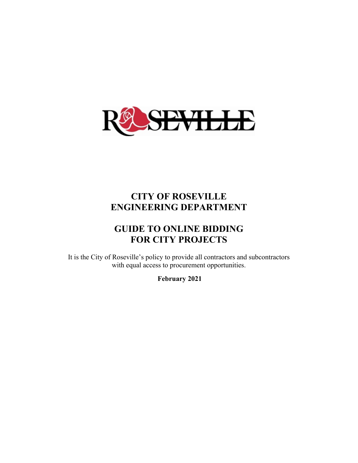

### **CITY OF ROSEVILLE ENGINEERING DEPARTMENT**

### **GUIDE TO ONLINE BIDDING FOR CITY PROJECTS**

It is the City of Roseville's policy to provide all contractors and subcontractors with equal access to procurement opportunities.

 **February 2021**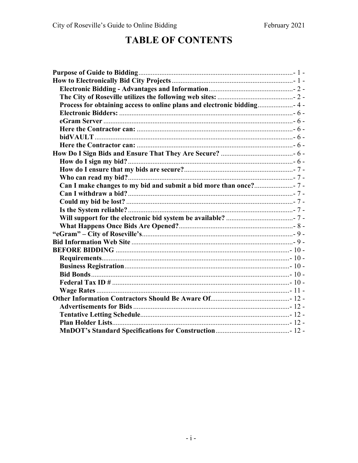### **TABLE OF CONTENTS**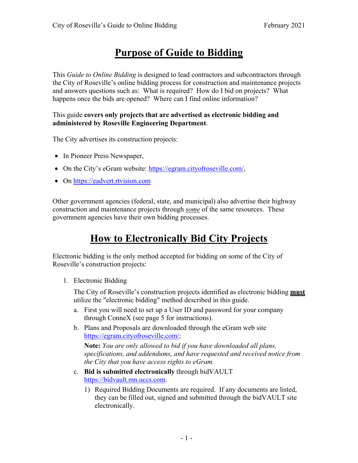## **Purpose of Guide to Bidding**

This *Guide to Online Bidding* is designed to lead contractors and subcontractors through the City of Roseville's online bidding process for construction and maintenance projects and answers questions such as: What is required? How do I bid on projects? What happens once the bids are opened? Where can I find online information?

#### This guide **covers only projects that are advertised as electronic bidding and administered by Roseville Engineering Department**.

The City advertises its construction projects:

- In Pioneer Press Newspaper,
- On the City's eGram website: https://egram.cityofroseville.com/,
- On https://eadvert.rtvision.com

Other government agencies (federal, state, and municipal) also advertise their highway construction and maintenance projects through *some* of the same resources. These government agencies have their own bidding processes.

# **How to Electronically Bid City Projects**

Electronic bidding is the only method accepted for bidding on some of the City of Roseville's construction projects:

1. Electronic Bidding

The City of Roseville's construction projects identified as electronic bidding **must** utilize the "electronic bidding" method described in this guide.

- a. First you will need to set up a User ID and password for your company through ConneX (see page 5 for instructions).
- b. Plans and Proposals are downloaded through the eGram web site https://egram.cityofroseville.com/;

**Note:** *You are only allowed to bid if you have downloaded all plans, specifications, and addendums, and have requested and received notice from the City that you have access rights to eGram.* 

- c. **Bid is submitted electronically** through bidVAULT https://bidvault.mn.uccs.com.
	- 1) Required Bidding Documents are required. If any documents are listed, they can be filled out, signed and submitted through the bidVAULT site electronically.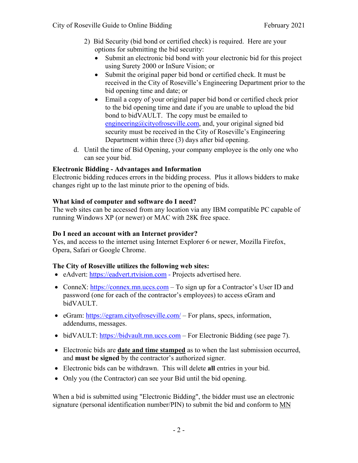- 2) Bid Security (bid bond or certified check) is required. Here are your options for submitting the bid security:
	- Submit an electronic bid bond with your electronic bid for this project using Surety 2000 or InSure Vision; or
	- Submit the original paper bid bond or certified check. It must be received in the City of Roseville's Engineering Department prior to the bid opening time and date; or
	- Email a copy of your original paper bid bond or certified check prior to the bid opening time and date if you are unable to upload the bid bond to bidVAULT. The copy must be emailed to engineering@cityofroseville.com, and, your original signed bid security must be received in the City of Roseville's Engineering Department within three (3) days after bid opening.
- d. Until the time of Bid Opening, your company employee is the only one who can see your bid.

#### **Electronic Bidding - Advantages and Information**

Electronic bidding reduces errors in the bidding process. Plus it allows bidders to make changes right up to the last minute prior to the opening of bids.

#### **What kind of computer and software do I need?**

The web sites can be accessed from any location via any IBM compatible PC capable of running Windows XP (or newer) or MAC with 28K free space.

#### **Do I need an account with an Internet provider?**

Yes, and access to the internet using Internet Explorer 6 or newer, Mozilla Firefox, Opera, Safari or Google Chrome.

#### **The City of Roseville utilizes the following web sites:**

- eAdvert: https://eadvert.rtvision.com Projects advertised here.
- ConneX: https://connex.mn.uccs.com To sign up for a Contractor's User ID and password (one for each of the contractor's employees) to access eGram and bidVAULT.
- eGram: https://egram.cityofroseville.com/ For plans, specs, information, addendums, messages.
- bidVAULT: https://bidvault.mn.uccs.com For Electronic Bidding (see page 7).
- Electronic bids are **date and time stamped** as to when the last submission occurred, and **must be signed** by the contractor's authorized signer.
- Electronic bids can be withdrawn. This will delete **all** entries in your bid.
- Only you (the Contractor) can see your Bid until the bid opening.

When a bid is submitted using "Electronic Bidding", the bidder must use an electronic signature (personal identification number/PIN) to submit the bid and conform to  $MN$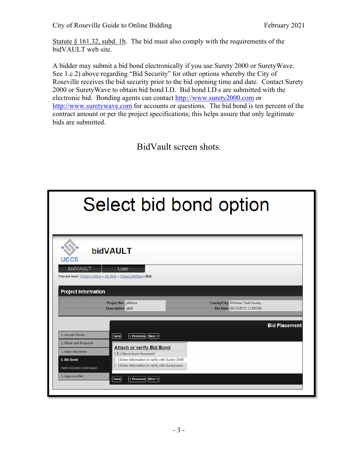Statute  $\S$  161.32, subd. 1b. The bid must also comply with the requirements of the bidVAULT web site.

A bidder may submit a bid bond electronically if you use Surety 2000 or SuretyWave. See 1.c.2) above regarding "Bid Security" for other options whereby the City of Roseville receives the bid security prior to the bid opening time and date. Contact Surety 2000 or SuretyWave to obtain bid bond I.D. Bid bond I.D.s are submitted with the electronic bid. Bonding agents can contact http://www.surety2000.com or http://www.suretywave.com for accounts or questions. The bid bond is ten percent of the contract amount or per the project specifications; this helps assure that only legitimate bids are submitted.

BidVault screen shots:

| Select bid bond option      |                                                                                 |                                                                  |  |
|-----------------------------|---------------------------------------------------------------------------------|------------------------------------------------------------------|--|
| <b>UCCS</b>                 | bidVAULT                                                                        |                                                                  |  |
| <b>bidVAULT</b>             | <b>User</b><br>You are here: Project Listing » My Bids » Project jklhfdsa » Bid |                                                                  |  |
| <b>Project Information</b>  |                                                                                 |                                                                  |  |
|                             | Project No. jklhfdsa<br><b>Description</b> siklfd                               | County/City RtVision Test County<br>Bid Date 05/01/2013 12:00 PM |  |
|                             |                                                                                 | <b>Bid Placement</b>                                             |  |
| 1. Accept Terms             | $\leq$ Previous<br>Next ><br><b>Save</b>                                        |                                                                  |  |
| 2. Plans and Proposal       |                                                                                 |                                                                  |  |
| 3. Base Bid Items           | <b>Attach or verify Bid Bond</b><br>[X] Attach bond document                    |                                                                  |  |
| 4. Bid Bond                 | ] Enter information to verify with Surety 2000                                  |                                                                  |  |
| Verify bid bond information | [ ] Enter information to verify with Suretywave                                 |                                                                  |  |
| 5. Approve Bid              | Save<br>< Previous<br>Next                                                      |                                                                  |  |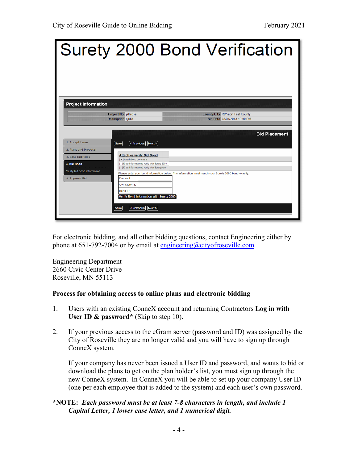|                                                                                                                               |                                                                                                                                                                                                                                                                                                                              | Surety 2000 Bond Verification                                                                                               |
|-------------------------------------------------------------------------------------------------------------------------------|------------------------------------------------------------------------------------------------------------------------------------------------------------------------------------------------------------------------------------------------------------------------------------------------------------------------------|-----------------------------------------------------------------------------------------------------------------------------|
| <b>Project Information</b>                                                                                                    | Project No. jklhfdsa<br><b>Description sklfd</b>                                                                                                                                                                                                                                                                             | <b>County/City RtVision Test County</b><br>Bid Date 05/01/2013 12:00 PM                                                     |
| 1. Accept Terms<br>2. Plans and Proposal<br>3. Base Bid Items<br>4. Bid Bond<br>Verify bid bond information<br>5. Approve Bid | Save<br>< Previous   Next ><br><b>Attach or verify Bid Bond</b><br>[X] Attach bond document<br>[ ] Enter information to verify with Surety 2000<br>[ ] Enter information to verify with Suretywave<br>Contract<br>Contractor ID<br><b>Bond ID</b><br>Verify Bond Information with Surety 2000<br>< Previous   Next ><br>Save | <b>Bid Placement</b><br>Please enter your bond information below. The information must match your Surety 2000 bond exactly. |

For electronic bidding, and all other bidding questions, contact Engineering either by phone at  $651-792-7004$  or by email at engineering@cityofroseville.com.

Engineering Department 2660 Civic Center Drive Roseville, MN 55113

#### **Process for obtaining access to online plans and electronic bidding**

- 1. Users with an existing ConneX account and returning Contractors **Log in with User ID & password\*** (Skip to step 10).
- 2. If your previous access to the eGram server (password and ID) was assigned by the City of Roseville they are no longer valid and you will have to sign up through ConneX system.

If your company has never been issued a User ID and password, and wants to bid or download the plans to get on the plan holder's list, you must sign up through the new ConneX system. In ConneX you will be able to set up your company User ID (one per each employee that is added to the system) and each user's own password.

#### **\*NOTE:** *Each password must be at least 7-8 characters in length, and include 1 Capital Letter, 1 lower case letter, and 1 numerical digit.*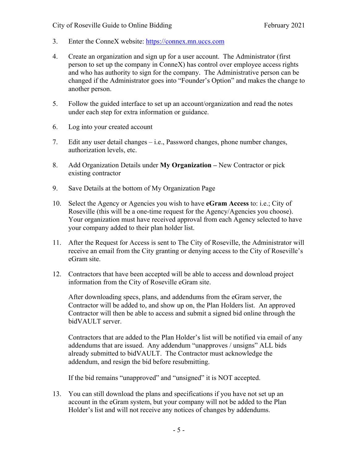- 3. Enter the ConneX website: https://connex.mn.uccs.com
- 4. Create an organization and sign up for a user account. The Administrator (first person to set up the company in ConneX) has control over employee access rights and who has authority to sign for the company. The Administrative person can be changed if the Administrator goes into "Founder's Option" and makes the change to another person.
- 5. Follow the guided interface to set up an account/organization and read the notes under each step for extra information or guidance.
- 6. Log into your created account
- 7. Edit any user detail changes i.e., Password changes, phone number changes, authorization levels, etc.
- 8. Add Organization Details under **My Organization** New Contractor or pick existing contractor
- 9. Save Details at the bottom of My Organization Page
- 10. Select the Agency or Agencies you wish to have **eGram Access** to: i.e.; City of Roseville (this will be a one-time request for the Agency/Agencies you choose). Your organization must have received approval from each Agency selected to have your company added to their plan holder list.
- 11. After the Request for Access is sent to The City of Roseville, the Administrator will receive an email from the City granting or denying access to the City of Roseville's eGram site.
- 12. Contractors that have been accepted will be able to access and download project information from the City of Roseville eGram site.

After downloading specs, plans, and addendums from the eGram server, the Contractor will be added to, and show up on, the Plan Holders list. An approved Contractor will then be able to access and submit a signed bid online through the bidVAULT server.

Contractors that are added to the Plan Holder's list will be notified via email of any addendums that are issued. Any addendum "unapproves / unsigns" ALL bids already submitted to bidVAULT. The Contractor must acknowledge the addendum, and resign the bid before resubmitting.

If the bid remains "unapproved" and "unsigned" it is NOT accepted.

13. You can still download the plans and specifications if you have not set up an account in the eGram system, but your company will not be added to the Plan Holder's list and will not receive any notices of changes by addendums.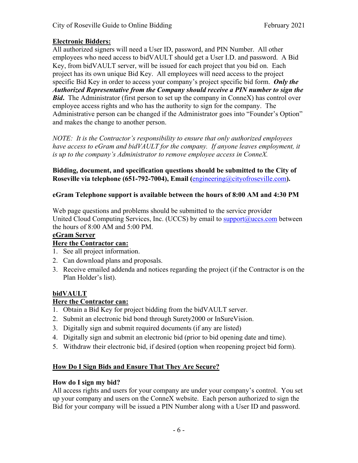#### **Electronic Bidders:**

All authorized signers will need a User ID, password, and PIN Number. All other employees who need access to bidVAULT should get a User I.D. and password. A Bid Key, from bidVAULT server, will be issued for each project that you bid on. Each project has its own unique Bid Key. All employees will need access to the project specific Bid Key in order to access your company's project specific bid form. *Only the Authorized Representative from the Company should receive a PIN number to sign the Bid.* The Administrator (first person to set up the company in ConneX) has control over employee access rights and who has the authority to sign for the company. The Administrative person can be changed if the Administrator goes into "Founder's Option" and makes the change to another person.

*NOTE: It is the Contractor's responsibility to ensure that only authorized employees have access to eGram and bidVAULT for the company. If anyone leaves employment, it is up to the company's Administrator to remove employee access in ConneX.* 

**Bidding, document, and specification questions should be submitted to the City of Roseville via telephone (651-792-7004), Email (**engineering@cityofroseville.com**).** 

#### **eGram Telephone support is available between the hours of 8:00 AM and 4:30 PM**

Web page questions and problems should be submitted to the service provider United Cloud Computing Services, Inc. (UCCS) by email to support $@uccs.com$  between the hours of 8:00 AM and 5:00 PM.

#### **eGram Server**

#### **Here the Contractor can:**

- 1. See all project information.
- 2. Can download plans and proposals.
- 3. Receive emailed addenda and notices regarding the project (if the Contractor is on the Plan Holder's list).

#### **bidVAULT**

#### **Here the Contractor can:**

- 1. Obtain a Bid Key for project bidding from the bidVAULT server.
- 2. Submit an electronic bid bond through Surety2000 or InSureVision.
- 3. Digitally sign and submit required documents (if any are listed)
- 4. Digitally sign and submit an electronic bid (prior to bid opening date and time).
- 5. Withdraw their electronic bid, if desired (option when reopening project bid form).

#### **How Do I Sign Bids and Ensure That They Are Secure?**

#### **How do I sign my bid?**

All access rights and users for your company are under your company's control. You set up your company and users on the ConneX website. Each person authorized to sign the Bid for your company will be issued a PIN Number along with a User ID and password.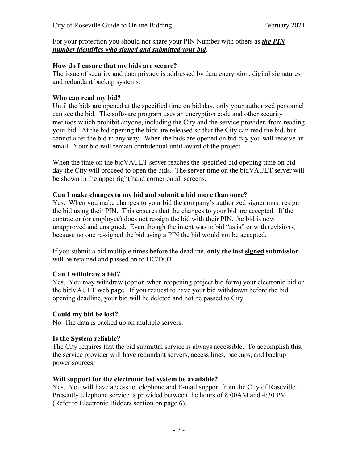#### For your protection you should not share your PIN Number with others as *the PIN number identifies who signed and submitted your bid*.

#### **How do I ensure that my bids are secure?**

The issue of security and data privacy is addressed by data encryption, digital signatures and redundant backup systems.

#### **Who can read my bid?**

Until the bids are opened at the specified time on bid day, only your authorized personnel can see the bid. The software program uses an encryption code and other security methods which prohibit anyone, including the City and the service provider, from reading your bid. At the bid opening the bids are released so that the City can read the bid, but cannot alter the bid in any way. When the bids are opened on bid day you will receive an email. Your bid will remain confidential until award of the project.

When the time on the bidVAULT server reaches the specified bid opening time on bid day the City will proceed to open the bids. The server time on the bidVAULT server will be shown in the upper right hand corner on all screens.

#### **Can I make changes to my bid and submit a bid more than once?**

Yes. When you make changes to your bid the company's authorized signer must resign the bid using their PIN. This ensures that the changes to your bid are accepted.If the contractor (or employee) does not re-sign the bid with their PIN, the bid is now unapproved and unsigned. Even though the intent was to bid "as is" or with revisions, because no one re-signed the bid using a PIN the bid would not be accepted.

If you submit a bid multiple times before the deadline, **only the last signed submission** will be retained and passed on to HC/DOT.

#### **Can I withdraw a bid?**

Yes. You may withdraw (option when reopening project bid form) your electronic bid on the bidVAULT web page. If you request to have your bid withdrawn before the bid opening deadline, your bid will be deleted and not be passed to City.

#### **Could my bid be lost?**

No. The data is backed up on multiple servers.

#### **Is the System reliable?**

The City requires that the bid submittal service is always accessible. To accomplish this, the service provider will have redundant servers, access lines, backups, and backup power sources.

#### **Will support for the electronic bid system be available?**

Yes. You will have access to telephone and E-mail support from the City of Roseville. Presently telephone service is provided between the hours of 8:00AM and 4:30 PM. (Refer to Electronic Bidders section on page 6).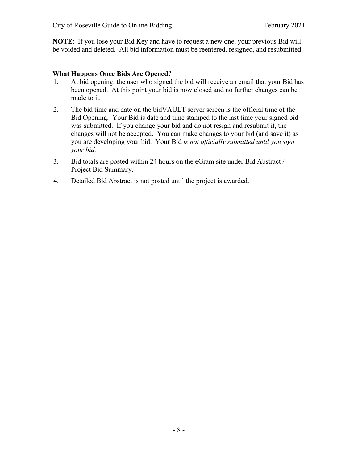**NOTE**: If you lose your Bid Key and have to request a new one, your previous Bid will be voided and deleted. All bid information must be reentered, resigned, and resubmitted.

#### **What Happens Once Bids Are Opened?**

- 1. At bid opening, the user who signed the bid will receive an email that your Bid has been opened. At this point your bid is now closed and no further changes can be made to it.
- 2. The bid time and date on the bidVAULT server screen is the official time of the Bid Opening. Your Bid is date and time stamped to the last time your signed bid was submitted. If you change your bid and do not resign and resubmit it, the changes will not be accepted. You can make changes to your bid (and save it) as you are developing your bid. Your Bid *is not officially submitted until you sign your bid.*
- 3. Bid totals are posted within 24 hours on the eGram site under Bid Abstract / Project Bid Summary.
- 4. Detailed Bid Abstract is not posted until the project is awarded.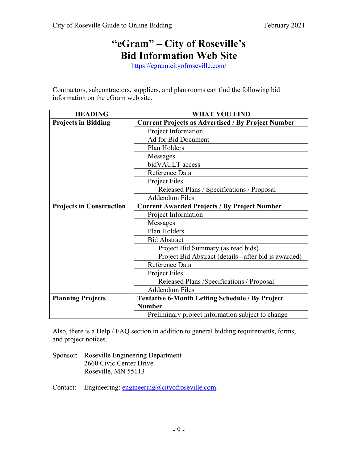### **"eGram" – City of Roseville's Bid Information Web Site**

https://egram.cityofroseville.com/

Contractors, subcontractors, suppliers, and plan rooms can find the following bid information on the eGram web site.

| <b>HEADING</b>                  | <b>WHAT YOU FIND</b>                                      |  |  |
|---------------------------------|-----------------------------------------------------------|--|--|
| <b>Projects in Bidding</b>      | <b>Current Projects as Advertised / By Project Number</b> |  |  |
|                                 | Project Information                                       |  |  |
|                                 | Ad for Bid Document                                       |  |  |
|                                 | Plan Holders                                              |  |  |
|                                 | Messages                                                  |  |  |
|                                 | bidVAULT access                                           |  |  |
|                                 | Reference Data                                            |  |  |
|                                 | Project Files                                             |  |  |
|                                 | Released Plans / Specifications / Proposal                |  |  |
|                                 | <b>Addendum Files</b>                                     |  |  |
| <b>Projects in Construction</b> | <b>Current Awarded Projects / By Project Number</b>       |  |  |
|                                 | Project Information                                       |  |  |
|                                 | <b>Messages</b>                                           |  |  |
|                                 | Plan Holders                                              |  |  |
|                                 | <b>Bid Abstract</b>                                       |  |  |
|                                 | Project Bid Summary (as read bids)                        |  |  |
|                                 | Project Bid Abstract (details - after bid is awarded)     |  |  |
|                                 | Reference Data                                            |  |  |
|                                 | Project Files                                             |  |  |
|                                 | Released Plans / Specifications / Proposal                |  |  |
|                                 | <b>Addendum Files</b>                                     |  |  |
| <b>Planning Projects</b>        | <b>Tentative 6-Month Letting Schedule / By Project</b>    |  |  |
|                                 | <b>Number</b>                                             |  |  |
|                                 | Preliminary project information subject to change         |  |  |

Also, there is a Help / FAQ section in addition to general bidding requirements, forms, and project notices.

Sponsor: Roseville Engineering Department 2660 Civic Center Drive Roseville, MN 55113

Contact: Engineering: engineering@cityofroseville.com.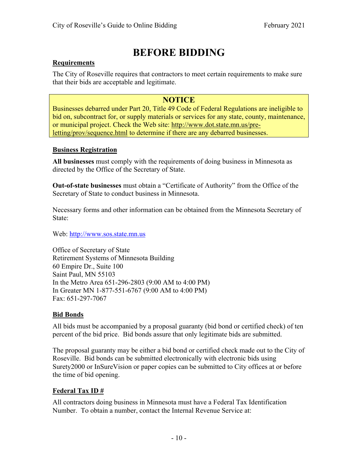# **BEFORE BIDDING**

#### **Requirements**

The City of Roseville requires that contractors to meet certain requirements to make sure that their bids are acceptable and legitimate.

### **NOTICE**

Businesses debarred under Part 20, Title 49 Code of Federal Regulations are ineligible to bid on, subcontract for, or supply materials or services for any state, county, maintenance, or municipal project. Check the Web site: http://www.dot.state.mn.us/preletting/prov/sequence.html to determine if there are any debarred businesses.

#### **Business Registration**

**All businesses** must comply with the requirements of doing business in Minnesota as directed by the Office of the Secretary of State.

**Out-of-state businesses** must obtain a "Certificate of Authority" from the Office of the Secretary of State to conduct business in Minnesota.

Necessary forms and other information can be obtained from the Minnesota Secretary of State:

Web: http://www.sos.state.mn.us

Office of Secretary of State Retirement Systems of Minnesota Building 60 Empire Dr., Suite 100 Saint Paul, MN 55103 In the Metro Area 651-296-2803 (9:00 AM to 4:00 PM) In Greater MN 1-877-551-6767 (9:00 AM to 4:00 PM) Fax: 651-297-7067

#### **Bid Bonds**

All bids must be accompanied by a proposal guaranty (bid bond or certified check) of ten percent of the bid price. Bid bonds assure that only legitimate bids are submitted.

The proposal guaranty may be either a bid bond or certified check made out to the City of Roseville. Bid bonds can be submitted electronically with electronic bids using Surety2000 or InSureVision or paper copies can be submitted to City offices at or before the time of bid opening.

#### **Federal Tax ID #**

All contractors doing business in Minnesota must have a Federal Tax Identification Number. To obtain a number, contact the Internal Revenue Service at: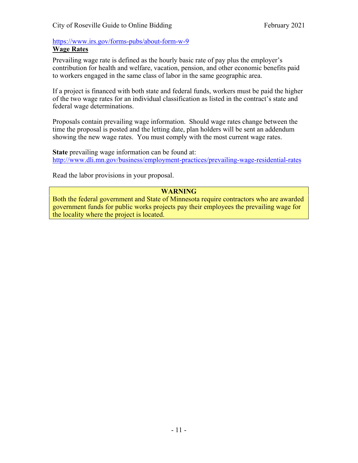#### https://www.irs.gov/forms-pubs/about-form-w-9 **Wage Rates**

Prevailing wage rate is defined as the hourly basic rate of pay plus the employer's contribution for health and welfare, vacation, pension, and other economic benefits paid to workers engaged in the same class of labor in the same geographic area.

If a project is financed with both state and federal funds, workers must be paid the higher of the two wage rates for an individual classification as listed in the contract's state and federal wage determinations.

Proposals contain prevailing wage information. Should wage rates change between the time the proposal is posted and the letting date, plan holders will be sent an addendum showing the new wage rates. You must comply with the most current wage rates.

**State** prevailing wage information can be found at: http://www.dli.mn.gov/business/employment-practices/prevailing-wage-residential-rates

Read the labor provisions in your proposal.

#### **WARNING**

Both the federal government and State of Minnesota require contractors who are awarded government funds for public works projects pay their employees the prevailing wage for the locality where the project is located.